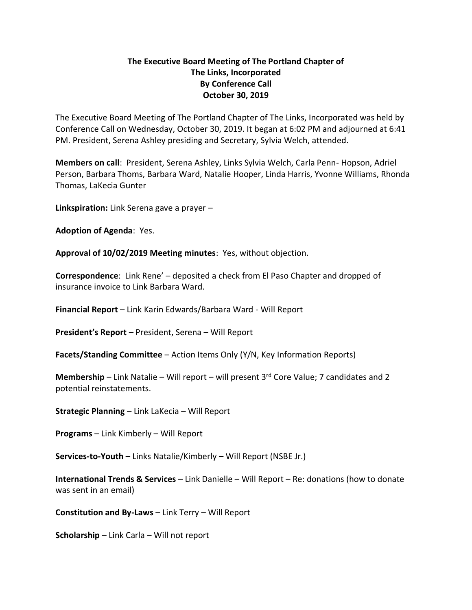## **The Executive Board Meeting of The Portland Chapter of The Links, Incorporated By Conference Call October 30, 2019**

The Executive Board Meeting of The Portland Chapter of The Links, Incorporated was held by Conference Call on Wednesday, October 30, 2019. It began at 6:02 PM and adjourned at 6:41 PM. President, Serena Ashley presiding and Secretary, Sylvia Welch, attended.

**Members on call**: President, Serena Ashley, Links Sylvia Welch, Carla Penn- Hopson, Adriel Person, Barbara Thoms, Barbara Ward, Natalie Hooper, Linda Harris, Yvonne Williams, Rhonda Thomas, LaKecia Gunter

**Linkspiration:** Link Serena gave a prayer –

**Adoption of Agenda**: Yes.

**Approval of 10/02/2019 Meeting minutes**: Yes, without objection.

**Correspondence**: Link Rene' – deposited a check from El Paso Chapter and dropped of insurance invoice to Link Barbara Ward.

**Financial Report** – Link Karin Edwards/Barbara Ward - Will Report

**President's Report** – President, Serena – Will Report

**Facets/Standing Committee** – Action Items Only (Y/N, Key Information Reports)

**Membership** – Link Natalie – Will report – will present 3rd Core Value; 7 candidates and 2 potential reinstatements.

**Strategic Planning** – Link LaKecia – Will Report

**Programs** – Link Kimberly – Will Report

**Services-to-Youth** – Links Natalie/Kimberly – Will Report (NSBE Jr.)

**International Trends & Services** – Link Danielle – Will Report – Re: donations (how to donate was sent in an email)

**Constitution and By-Laws** – Link Terry – Will Report

**Scholarship** – Link Carla – Will not report